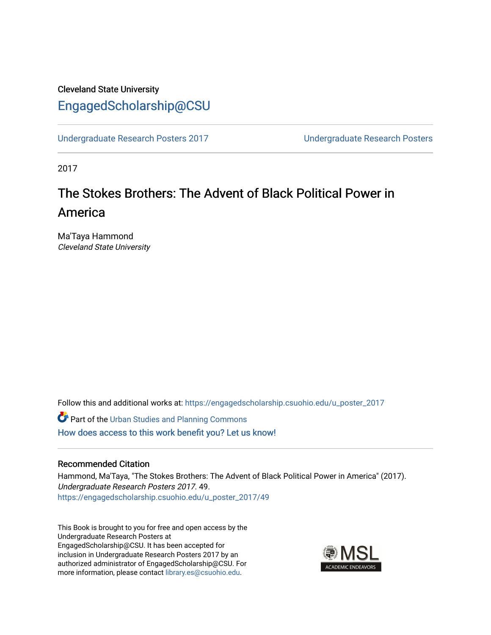## Cleveland State University [EngagedScholarship@CSU](https://engagedscholarship.csuohio.edu/)

[Undergraduate Research Posters 2017](https://engagedscholarship.csuohio.edu/u_poster_2017) [Undergraduate Research Posters](https://engagedscholarship.csuohio.edu/u_poster) 

2017

# The Stokes Brothers: The Advent of Black Political Power in America

Ma'Taya Hammond Cleveland State University

Follow this and additional works at: [https://engagedscholarship.csuohio.edu/u\\_poster\\_2017](https://engagedscholarship.csuohio.edu/u_poster_2017?utm_source=engagedscholarship.csuohio.edu%2Fu_poster_2017%2F49&utm_medium=PDF&utm_campaign=PDFCoverPages) 

**Part of the [Urban Studies and Planning Commons](http://network.bepress.com/hgg/discipline/436?utm_source=engagedscholarship.csuohio.edu%2Fu_poster_2017%2F49&utm_medium=PDF&utm_campaign=PDFCoverPages)** [How does access to this work benefit you? Let us know!](http://library.csuohio.edu/engaged/)

#### Recommended Citation

Hammond, Ma'Taya, "The Stokes Brothers: The Advent of Black Political Power in America" (2017). Undergraduate Research Posters 2017. 49. [https://engagedscholarship.csuohio.edu/u\\_poster\\_2017/49](https://engagedscholarship.csuohio.edu/u_poster_2017/49?utm_source=engagedscholarship.csuohio.edu%2Fu_poster_2017%2F49&utm_medium=PDF&utm_campaign=PDFCoverPages) 

This Book is brought to you for free and open access by the Undergraduate Research Posters at EngagedScholarship@CSU. It has been accepted for inclusion in Undergraduate Research Posters 2017 by an authorized administrator of EngagedScholarship@CSU. For more information, please contact [library.es@csuohio.edu](mailto:library.es@csuohio.edu).